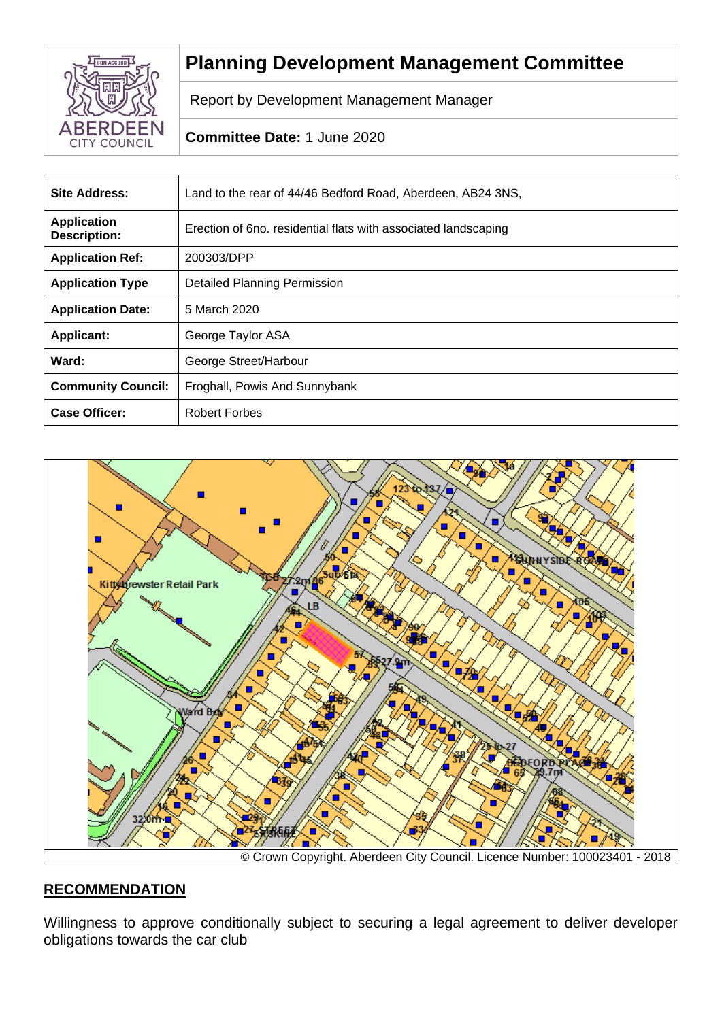

# **Planning Development Management Committee**

Report by Development Management Manager

# **Committee Date:** 1 June 2020

| <b>Site Address:</b>                      | Land to the rear of 44/46 Bedford Road, Aberdeen, AB24 3NS,    |  |
|-------------------------------------------|----------------------------------------------------------------|--|
| <b>Application</b><br><b>Description:</b> | Erection of 6no. residential flats with associated landscaping |  |
| <b>Application Ref:</b>                   | 200303/DPP                                                     |  |
| <b>Application Type</b>                   | <b>Detailed Planning Permission</b>                            |  |
| <b>Application Date:</b>                  | 5 March 2020                                                   |  |
| <b>Applicant:</b>                         | George Taylor ASA                                              |  |
| Ward:                                     | George Street/Harbour                                          |  |
| <b>Community Council:</b>                 | Froghall, Powis And Sunnybank                                  |  |
| <b>Case Officer:</b>                      | <b>Robert Forbes</b>                                           |  |



# **RECOMMENDATION**

Willingness to approve conditionally subject to securing a legal agreement to deliver developer obligations towards the car club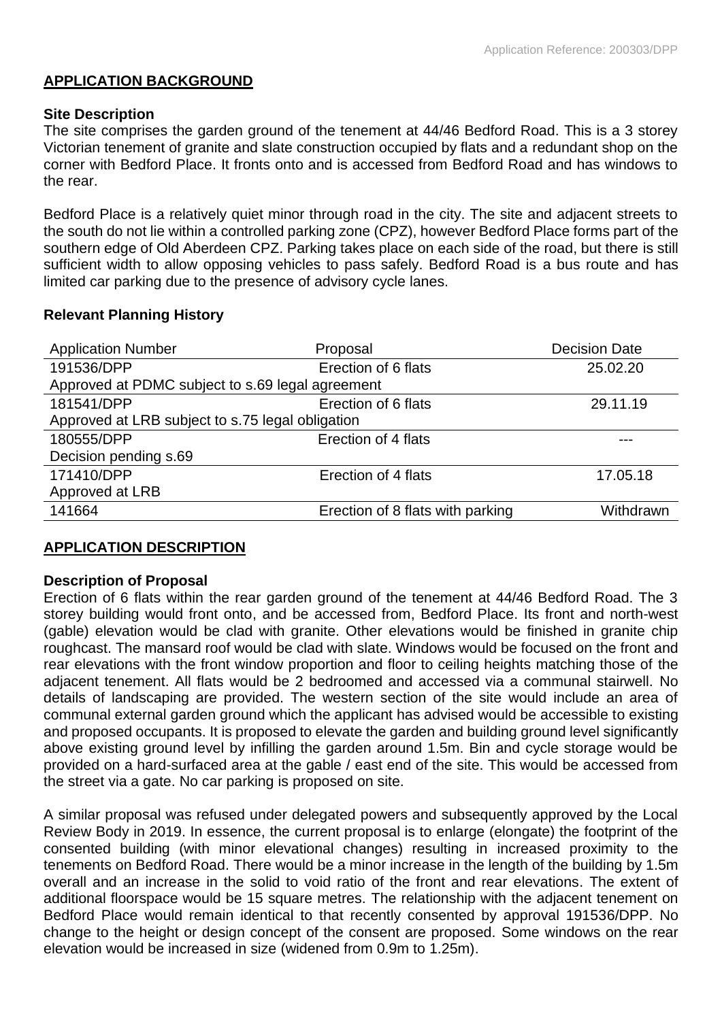## **APPLICATION BACKGROUND**

#### **Site Description**

The site comprises the garden ground of the tenement at 44/46 Bedford Road. This is a 3 storey Victorian tenement of granite and slate construction occupied by flats and a redundant shop on the corner with Bedford Place. It fronts onto and is accessed from Bedford Road and has windows to the rear.

Bedford Place is a relatively quiet minor through road in the city. The site and adjacent streets to the south do not lie within a controlled parking zone (CPZ), however Bedford Place forms part of the southern edge of Old Aberdeen CPZ. Parking takes place on each side of the road, but there is still sufficient width to allow opposing vehicles to pass safely. Bedford Road is a bus route and has limited car parking due to the presence of advisory cycle lanes.

## **Relevant Planning History**

| <b>Application Number</b>                        | Proposal                         | <b>Decision Date</b> |  |
|--------------------------------------------------|----------------------------------|----------------------|--|
| 191536/DPP                                       | Erection of 6 flats              | 25.02.20             |  |
| Approved at PDMC subject to s.69 legal agreement |                                  |                      |  |
| 181541/DPP                                       | Erection of 6 flats              | 29.11.19             |  |
| Approved at LRB subject to s.75 legal obligation |                                  |                      |  |
| 180555/DPP                                       | Erection of 4 flats              |                      |  |
| Decision pending s.69                            |                                  |                      |  |
| 171410/DPP                                       | Erection of 4 flats              | 17.05.18             |  |
| Approved at LRB                                  |                                  |                      |  |
| 141664                                           | Erection of 8 flats with parking | Withdrawn            |  |

# **APPLICATION DESCRIPTION**

## **Description of Proposal**

Erection of 6 flats within the rear garden ground of the tenement at 44/46 Bedford Road. The 3 storey building would front onto, and be accessed from, Bedford Place. Its front and north-west (gable) elevation would be clad with granite. Other elevations would be finished in granite chip roughcast. The mansard roof would be clad with slate. Windows would be focused on the front and rear elevations with the front window proportion and floor to ceiling heights matching those of the adjacent tenement. All flats would be 2 bedroomed and accessed via a communal stairwell. No details of landscaping are provided. The western section of the site would include an area of communal external garden ground which the applicant has advised would be accessible to existing and proposed occupants. It is proposed to elevate the garden and building ground level significantly above existing ground level by infilling the garden around 1.5m. Bin and cycle storage would be provided on a hard-surfaced area at the gable / east end of the site. This would be accessed from the street via a gate. No car parking is proposed on site.

A similar proposal was refused under delegated powers and subsequently approved by the Local Review Body in 2019. In essence, the current proposal is to enlarge (elongate) the footprint of the consented building (with minor elevational changes) resulting in increased proximity to the tenements on Bedford Road. There would be a minor increase in the length of the building by 1.5m overall and an increase in the solid to void ratio of the front and rear elevations. The extent of additional floorspace would be 15 square metres. The relationship with the adjacent tenement on Bedford Place would remain identical to that recently consented by approval 191536/DPP. No change to the height or design concept of the consent are proposed. Some windows on the rear elevation would be increased in size (widened from 0.9m to 1.25m).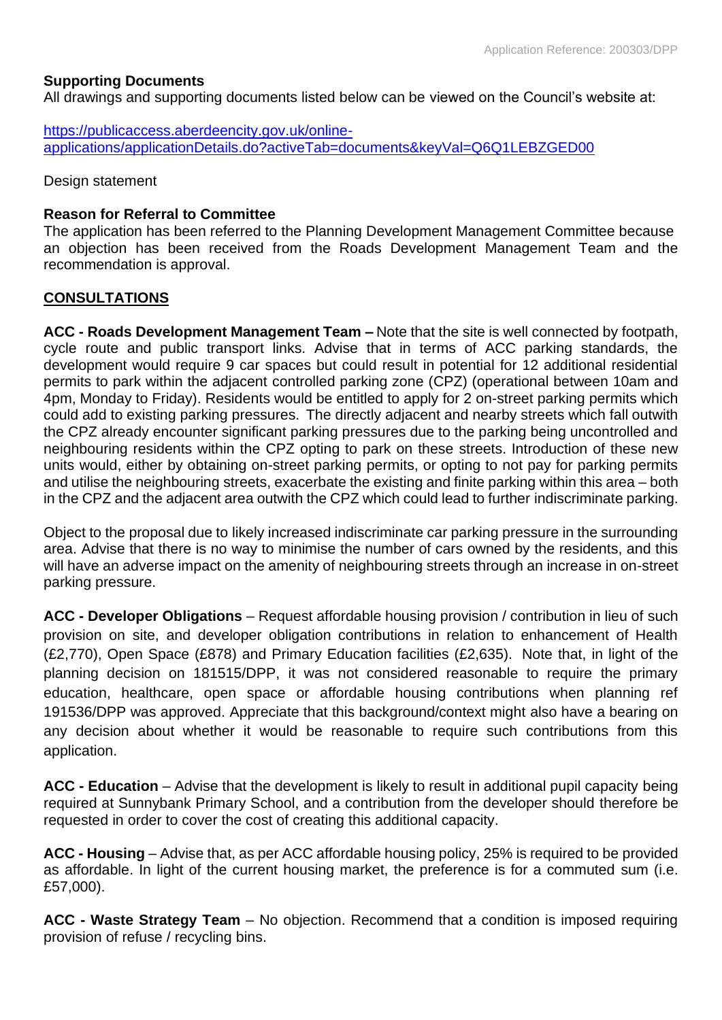## **Supporting Documents**

All drawings and supporting documents listed below can be viewed on the Council's website at:

[https://publicaccess.aberdeencity.gov.uk/online](https://publicaccess.aberdeencity.gov.uk/online-applications/applicationDetails.do?activeTab=documents&keyVal=Q6Q1LEBZGED00)[applications/applicationDetails.do?activeTab=documents&keyVal=Q6Q1LEBZGED00](https://publicaccess.aberdeencity.gov.uk/online-applications/applicationDetails.do?activeTab=documents&keyVal=Q6Q1LEBZGED00)

Design statement

#### **Reason for Referral to Committee**

The application has been referred to the Planning Development Management Committee because an objection has been received from the Roads Development Management Team and the recommendation is approval.

#### **CONSULTATIONS**

**ACC - Roads Development Management Team –** Note that the site is well connected by footpath, cycle route and public transport links. Advise that in terms of ACC parking standards, the development would require 9 car spaces but could result in potential for 12 additional residential permits to park within the adjacent controlled parking zone (CPZ) (operational between 10am and 4pm, Monday to Friday). Residents would be entitled to apply for 2 on-street parking permits which could add to existing parking pressures. The directly adjacent and nearby streets which fall outwith the CPZ already encounter significant parking pressures due to the parking being uncontrolled and neighbouring residents within the CPZ opting to park on these streets. Introduction of these new units would, either by obtaining on-street parking permits, or opting to not pay for parking permits and utilise the neighbouring streets, exacerbate the existing and finite parking within this area – both in the CPZ and the adjacent area outwith the CPZ which could lead to further indiscriminate parking.

Object to the proposal due to likely increased indiscriminate car parking pressure in the surrounding area. Advise that there is no way to minimise the number of cars owned by the residents, and this will have an adverse impact on the amenity of neighbouring streets through an increase in on-street parking pressure.

**ACC - Developer Obligations** – Request affordable housing provision / contribution in lieu of such provision on site, and developer obligation contributions in relation to enhancement of Health (£2,770), Open Space (£878) and Primary Education facilities (£2,635). Note that, in light of the planning decision on 181515/DPP, it was not considered reasonable to require the primary education, healthcare, open space or affordable housing contributions when planning ref 191536/DPP was approved. Appreciate that this background/context might also have a bearing on any decision about whether it would be reasonable to require such contributions from this application.

**ACC - Education** – Advise that the development is likely to result in additional pupil capacity being required at Sunnybank Primary School, and a contribution from the developer should therefore be requested in order to cover the cost of creating this additional capacity.

**ACC - Housing** – Advise that, as per ACC affordable housing policy, 25% is required to be provided as affordable. In light of the current housing market, the preference is for a commuted sum (i.e. £57,000).

**ACC - Waste Strategy Team** – No objection. Recommend that a condition is imposed requiring provision of refuse / recycling bins.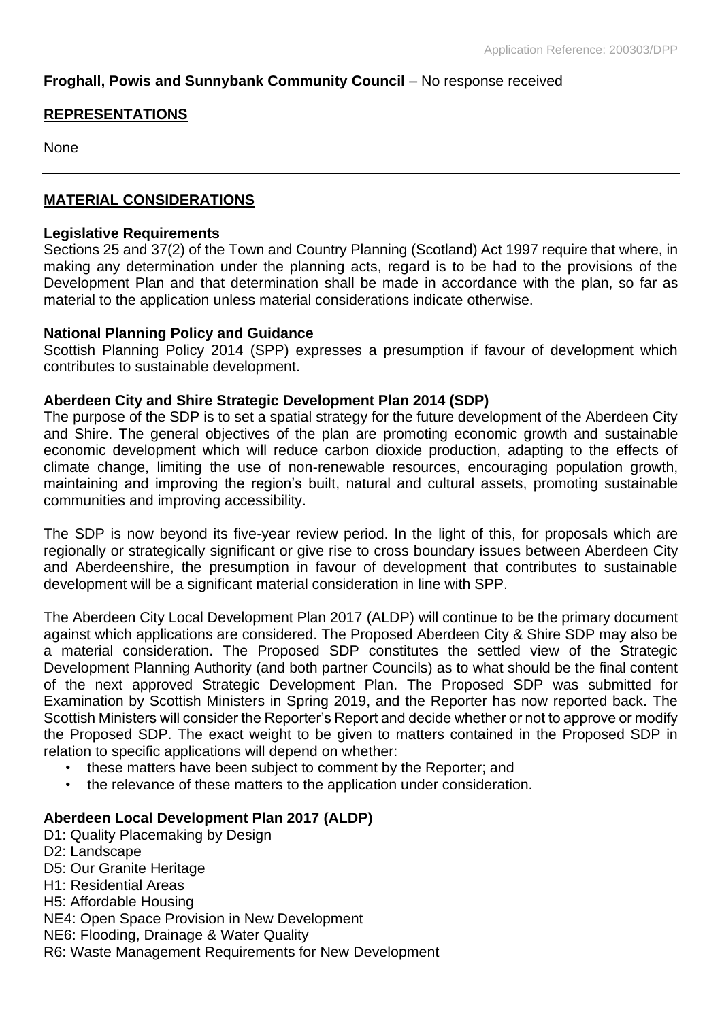# **Froghall, Powis and Sunnybank Community Council** – No response received

# **REPRESENTATIONS**

None

## **MATERIAL CONSIDERATIONS**

#### **Legislative Requirements**

Sections 25 and 37(2) of the Town and Country Planning (Scotland) Act 1997 require that where, in making any determination under the planning acts, regard is to be had to the provisions of the Development Plan and that determination shall be made in accordance with the plan, so far as material to the application unless material considerations indicate otherwise.

#### **National Planning Policy and Guidance**

Scottish Planning Policy 2014 (SPP) expresses a presumption if favour of development which contributes to sustainable development.

#### **Aberdeen City and Shire Strategic Development Plan 2014 (SDP)**

The purpose of the SDP is to set a spatial strategy for the future development of the Aberdeen City and Shire. The general objectives of the plan are promoting economic growth and sustainable economic development which will reduce carbon dioxide production, adapting to the effects of climate change, limiting the use of non-renewable resources, encouraging population growth, maintaining and improving the region's built, natural and cultural assets, promoting sustainable communities and improving accessibility.

The SDP is now beyond its five-year review period. In the light of this, for proposals which are regionally or strategically significant or give rise to cross boundary issues between Aberdeen City and Aberdeenshire, the presumption in favour of development that contributes to sustainable development will be a significant material consideration in line with SPP.

The Aberdeen City Local Development Plan 2017 (ALDP) will continue to be the primary document against which applications are considered. The Proposed Aberdeen City & Shire SDP may also be a material consideration. The Proposed SDP constitutes the settled view of the Strategic Development Planning Authority (and both partner Councils) as to what should be the final content of the next approved Strategic Development Plan. The Proposed SDP was submitted for Examination by Scottish Ministers in Spring 2019, and the Reporter has now reported back. The Scottish Ministers will consider the Reporter's Report and decide whether or not to approve or modify the Proposed SDP. The exact weight to be given to matters contained in the Proposed SDP in relation to specific applications will depend on whether:

- these matters have been subject to comment by the Reporter; and
- the relevance of these matters to the application under consideration.

## **Aberdeen Local Development Plan 2017 (ALDP)**

D1: Quality Placemaking by Design D2: Landscape D5: Our Granite Heritage H1: Residential Areas H5: Affordable Housing NE4: Open Space Provision in New Development NE6: Flooding, Drainage & Water Quality R6: Waste Management Requirements for New Development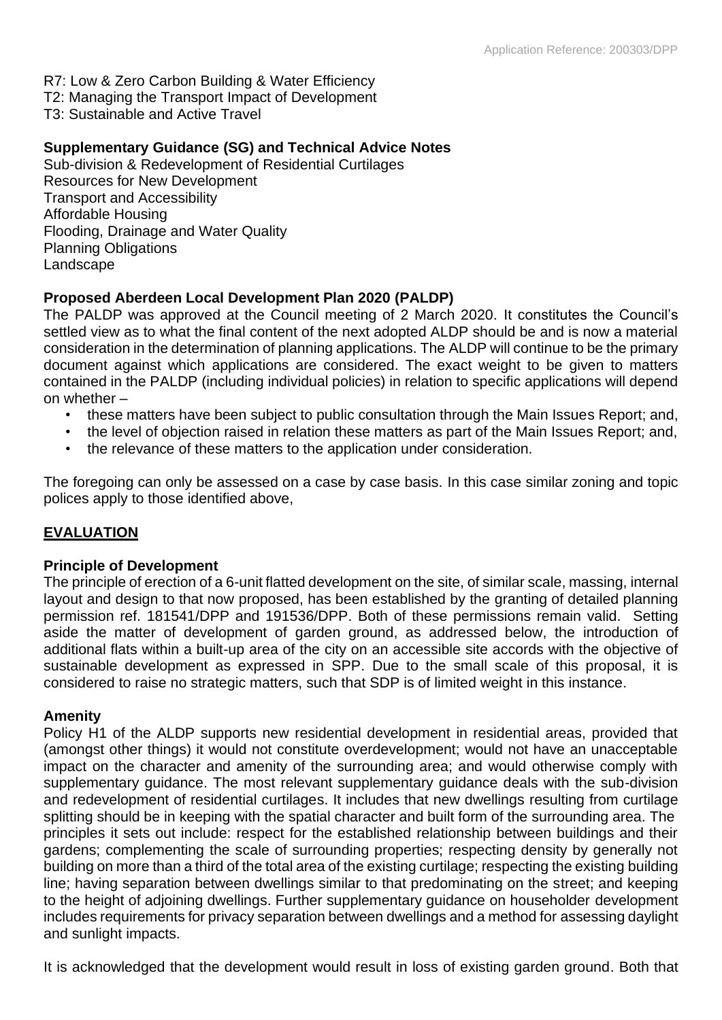- R7: Low & Zero Carbon Building & Water Efficiency
- T2: Managing the Transport Impact of Development
- T3: Sustainable and Active Travel

## **Supplementary Guidance (SG) and Technical Advice Notes**

Sub-division & Redevelopment of Residential Curtilages Resources for New Development Transport and Accessibility Affordable Housing Flooding, Drainage and Water Quality Planning Obligations Landscape

# **Proposed Aberdeen Local Development Plan 2020 (PALDP)**

The PALDP was approved at the Council meeting of 2 March 2020. It constitutes the Council's settled view as to what the final content of the next adopted ALDP should be and is now a material consideration in the determination of planning applications. The ALDP will continue to be the primary document against which applications are considered. The exact weight to be given to matters contained in the PALDP (including individual policies) in relation to specific applications will depend on whether –

- these matters have been subject to public consultation through the Main Issues Report; and,
- the level of objection raised in relation these matters as part of the Main Issues Report; and,
- the relevance of these matters to the application under consideration.

The foregoing can only be assessed on a case by case basis. In this case similar zoning and topic polices apply to those identified above,

## **EVALUATION**

#### **Principle of Development**

The principle of erection of a 6-unit flatted development on the site, of similar scale, massing, internal layout and design to that now proposed, has been established by the granting of detailed planning permission ref. 181541/DPP and 191536/DPP. Both of these permissions remain valid. Setting aside the matter of development of garden ground, as addressed below, the introduction of additional flats within a built-up area of the city on an accessible site accords with the objective of sustainable development as expressed in SPP. Due to the small scale of this proposal, it is considered to raise no strategic matters, such that SDP is of limited weight in this instance.

## **Amenity**

Policy H1 of the ALDP supports new residential development in residential areas, provided that (amongst other things) it would not constitute overdevelopment; would not have an unacceptable impact on the character and amenity of the surrounding area; and would otherwise comply with supplementary guidance. The most relevant supplementary guidance deals with the sub-division and redevelopment of residential curtilages. It includes that new dwellings resulting from curtilage splitting should be in keeping with the spatial character and built form of the surrounding area. The principles it sets out include: respect for the established relationship between buildings and their gardens; complementing the scale of surrounding properties; respecting density by generally not building on more than a third of the total area of the existing curtilage; respecting the existing building line; having separation between dwellings similar to that predominating on the street; and keeping to the height of adjoining dwellings. Further supplementary guidance on householder development includes requirements for privacy separation between dwellings and a method for assessing daylight and sunlight impacts.

It is acknowledged that the development would result in loss of existing garden ground. Both that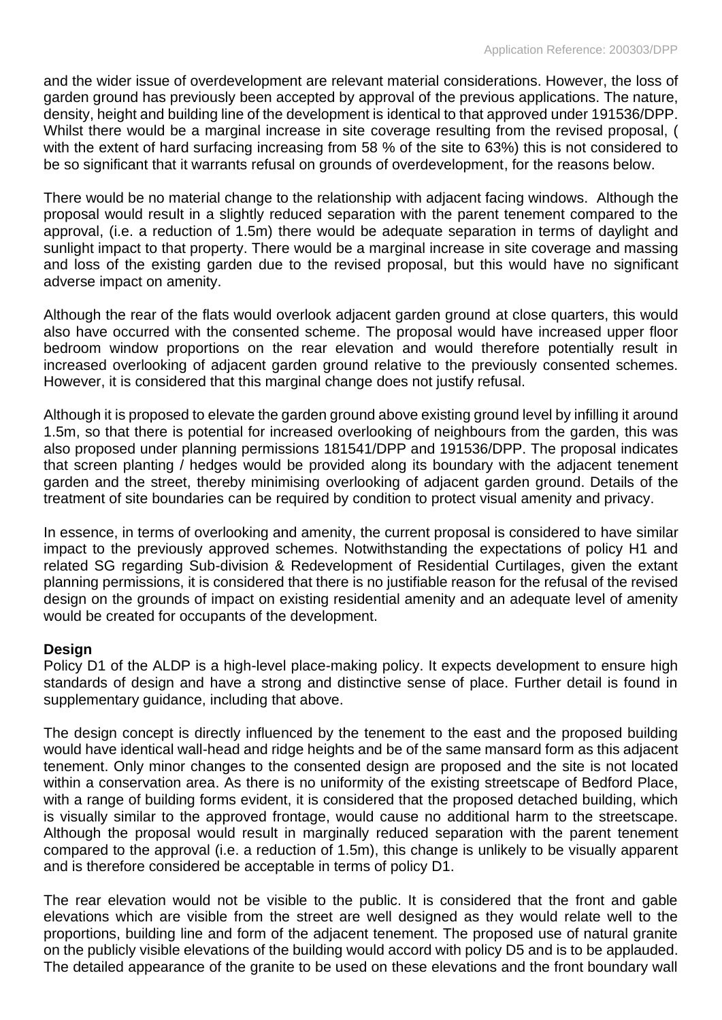and the wider issue of overdevelopment are relevant material considerations. However, the loss of garden ground has previously been accepted by approval of the previous applications. The nature, density, height and building line of the development is identical to that approved under 191536/DPP. Whilst there would be a marginal increase in site coverage resulting from the revised proposal, ( with the extent of hard surfacing increasing from 58 % of the site to 63%) this is not considered to be so significant that it warrants refusal on grounds of overdevelopment, for the reasons below.

There would be no material change to the relationship with adjacent facing windows. Although the proposal would result in a slightly reduced separation with the parent tenement compared to the approval, (i.e. a reduction of 1.5m) there would be adequate separation in terms of daylight and sunlight impact to that property. There would be a marginal increase in site coverage and massing and loss of the existing garden due to the revised proposal, but this would have no significant adverse impact on amenity.

Although the rear of the flats would overlook adjacent garden ground at close quarters, this would also have occurred with the consented scheme. The proposal would have increased upper floor bedroom window proportions on the rear elevation and would therefore potentially result in increased overlooking of adjacent garden ground relative to the previously consented schemes. However, it is considered that this marginal change does not justify refusal.

Although it is proposed to elevate the garden ground above existing ground level by infilling it around 1.5m, so that there is potential for increased overlooking of neighbours from the garden, this was also proposed under planning permissions 181541/DPP and 191536/DPP. The proposal indicates that screen planting / hedges would be provided along its boundary with the adjacent tenement garden and the street, thereby minimising overlooking of adjacent garden ground. Details of the treatment of site boundaries can be required by condition to protect visual amenity and privacy.

In essence, in terms of overlooking and amenity, the current proposal is considered to have similar impact to the previously approved schemes. Notwithstanding the expectations of policy H1 and related SG regarding Sub-division & Redevelopment of Residential Curtilages, given the extant planning permissions, it is considered that there is no justifiable reason for the refusal of the revised design on the grounds of impact on existing residential amenity and an adequate level of amenity would be created for occupants of the development.

## **Design**

Policy D1 of the ALDP is a high-level place-making policy. It expects development to ensure high standards of design and have a strong and distinctive sense of place. Further detail is found in supplementary guidance, including that above.

The design concept is directly influenced by the tenement to the east and the proposed building would have identical wall-head and ridge heights and be of the same mansard form as this adjacent tenement. Only minor changes to the consented design are proposed and the site is not located within a conservation area. As there is no uniformity of the existing streetscape of Bedford Place, with a range of building forms evident, it is considered that the proposed detached building, which is visually similar to the approved frontage, would cause no additional harm to the streetscape. Although the proposal would result in marginally reduced separation with the parent tenement compared to the approval (i.e. a reduction of 1.5m), this change is unlikely to be visually apparent and is therefore considered be acceptable in terms of policy D1.

The rear elevation would not be visible to the public. It is considered that the front and gable elevations which are visible from the street are well designed as they would relate well to the proportions, building line and form of the adjacent tenement. The proposed use of natural granite on the publicly visible elevations of the building would accord with policy D5 and is to be applauded. The detailed appearance of the granite to be used on these elevations and the front boundary wall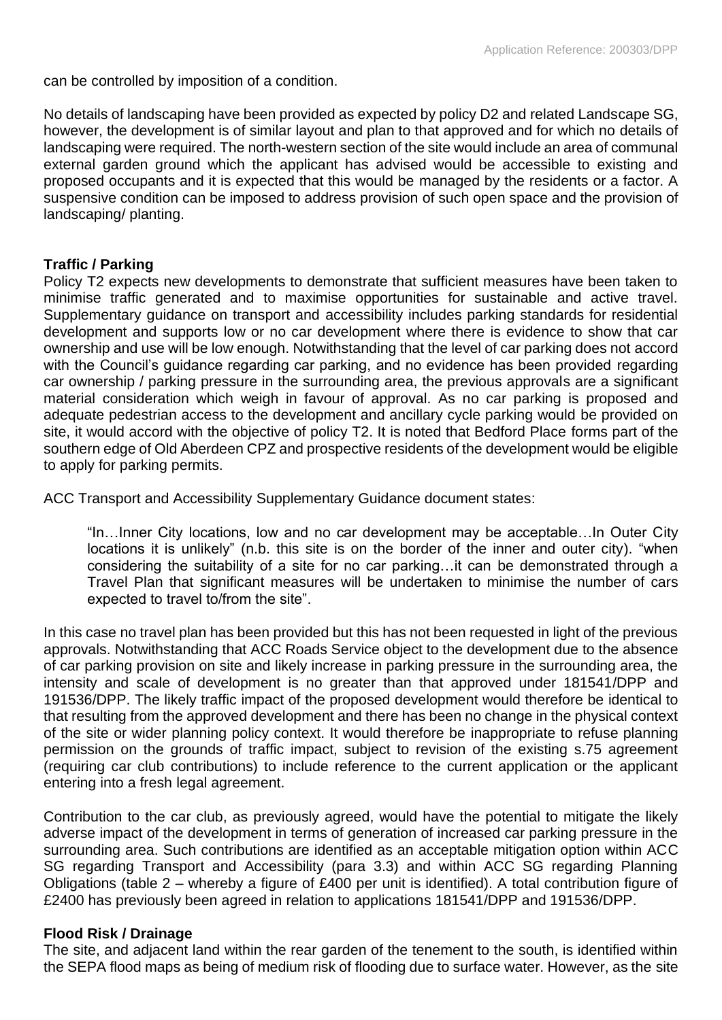can be controlled by imposition of a condition.

No details of landscaping have been provided as expected by policy D2 and related Landscape SG, however, the development is of similar layout and plan to that approved and for which no details of landscaping were required. The north-western section of the site would include an area of communal external garden ground which the applicant has advised would be accessible to existing and proposed occupants and it is expected that this would be managed by the residents or a factor. A suspensive condition can be imposed to address provision of such open space and the provision of landscaping/ planting.

#### **Traffic / Parking**

Policy T2 expects new developments to demonstrate that sufficient measures have been taken to minimise traffic generated and to maximise opportunities for sustainable and active travel. Supplementary guidance on transport and accessibility includes parking standards for residential development and supports low or no car development where there is evidence to show that car ownership and use will be low enough. Notwithstanding that the level of car parking does not accord with the Council's guidance regarding car parking, and no evidence has been provided regarding car ownership / parking pressure in the surrounding area, the previous approvals are a significant material consideration which weigh in favour of approval. As no car parking is proposed and adequate pedestrian access to the development and ancillary cycle parking would be provided on site, it would accord with the objective of policy T2. It is noted that Bedford Place forms part of the southern edge of Old Aberdeen CPZ and prospective residents of the development would be eligible to apply for parking permits.

ACC Transport and Accessibility Supplementary Guidance document states:

"In…Inner City locations, low and no car development may be acceptable…In Outer City locations it is unlikely" (n.b. this site is on the border of the inner and outer city). "when considering the suitability of a site for no car parking…it can be demonstrated through a Travel Plan that significant measures will be undertaken to minimise the number of cars expected to travel to/from the site".

In this case no travel plan has been provided but this has not been requested in light of the previous approvals. Notwithstanding that ACC Roads Service object to the development due to the absence of car parking provision on site and likely increase in parking pressure in the surrounding area, the intensity and scale of development is no greater than that approved under 181541/DPP and 191536/DPP. The likely traffic impact of the proposed development would therefore be identical to that resulting from the approved development and there has been no change in the physical context of the site or wider planning policy context. It would therefore be inappropriate to refuse planning permission on the grounds of traffic impact, subject to revision of the existing s.75 agreement (requiring car club contributions) to include reference to the current application or the applicant entering into a fresh legal agreement.

Contribution to the car club, as previously agreed, would have the potential to mitigate the likely adverse impact of the development in terms of generation of increased car parking pressure in the surrounding area. Such contributions are identified as an acceptable mitigation option within ACC SG regarding Transport and Accessibility (para 3.3) and within ACC SG regarding Planning Obligations (table 2 – whereby a figure of £400 per unit is identified). A total contribution figure of £2400 has previously been agreed in relation to applications 181541/DPP and 191536/DPP.

#### **Flood Risk / Drainage**

The site, and adjacent land within the rear garden of the tenement to the south, is identified within the SEPA flood maps as being of medium risk of flooding due to surface water. However, as the site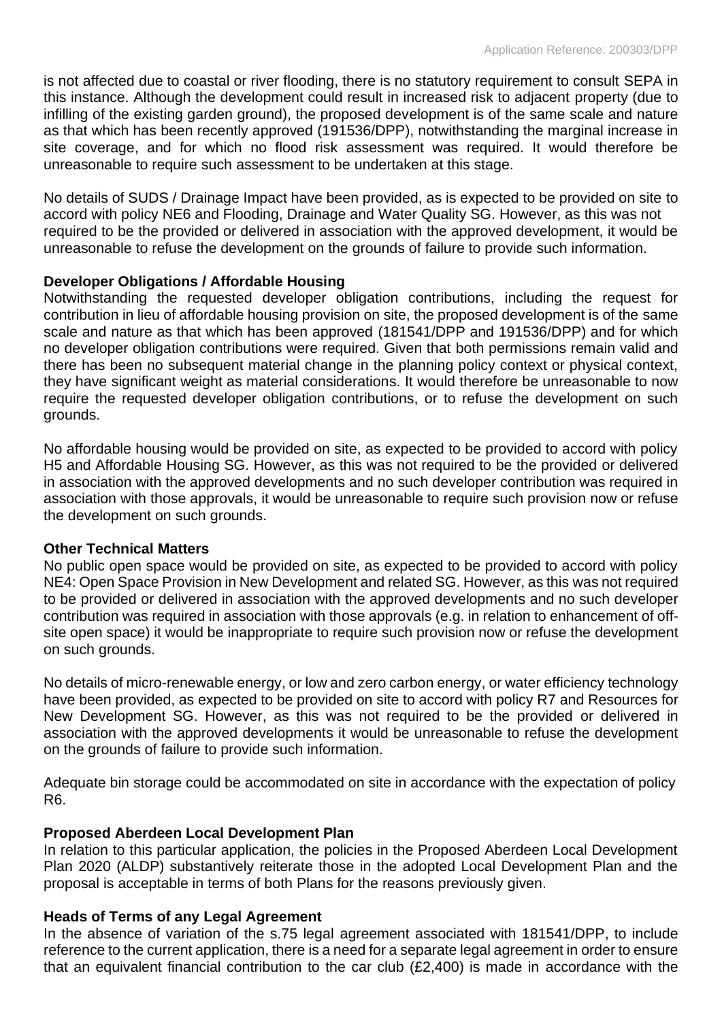is not affected due to coastal or river flooding, there is no statutory requirement to consult SEPA in this instance. Although the development could result in increased risk to adjacent property (due to infilling of the existing garden ground), the proposed development is of the same scale and nature as that which has been recently approved (191536/DPP), notwithstanding the marginal increase in site coverage, and for which no flood risk assessment was required. It would therefore be unreasonable to require such assessment to be undertaken at this stage.

No details of SUDS / Drainage Impact have been provided, as is expected to be provided on site to accord with policy NE6 and Flooding, Drainage and Water Quality SG. However, as this was not required to be the provided or delivered in association with the approved development, it would be unreasonable to refuse the development on the grounds of failure to provide such information.

## **Developer Obligations / Affordable Housing**

Notwithstanding the requested developer obligation contributions, including the request for contribution in lieu of affordable housing provision on site, the proposed development is of the same scale and nature as that which has been approved (181541/DPP and 191536/DPP) and for which no developer obligation contributions were required. Given that both permissions remain valid and there has been no subsequent material change in the planning policy context or physical context, they have significant weight as material considerations. It would therefore be unreasonable to now require the requested developer obligation contributions, or to refuse the development on such grounds.

No affordable housing would be provided on site, as expected to be provided to accord with policy H5 and Affordable Housing SG. However, as this was not required to be the provided or delivered in association with the approved developments and no such developer contribution was required in association with those approvals, it would be unreasonable to require such provision now or refuse the development on such grounds.

## **Other Technical Matters**

No public open space would be provided on site, as expected to be provided to accord with policy NE4: Open Space Provision in New Development and related SG. However, as this was not required to be provided or delivered in association with the approved developments and no such developer contribution was required in association with those approvals (e.g. in relation to enhancement of offsite open space) it would be inappropriate to require such provision now or refuse the development on such grounds.

No details of micro-renewable energy, or low and zero carbon energy, or water efficiency technology have been provided, as expected to be provided on site to accord with policy R7 and Resources for New Development SG. However, as this was not required to be the provided or delivered in association with the approved developments it would be unreasonable to refuse the development on the grounds of failure to provide such information.

Adequate bin storage could be accommodated on site in accordance with the expectation of policy R6.

## **Proposed Aberdeen Local Development Plan**

In relation to this particular application, the policies in the Proposed Aberdeen Local Development Plan 2020 (ALDP) substantively reiterate those in the adopted Local Development Plan and the proposal is acceptable in terms of both Plans for the reasons previously given.

# **Heads of Terms of any Legal Agreement**

In the absence of variation of the s.75 legal agreement associated with 181541/DPP, to include reference to the current application, there is a need for a separate legal agreement in order to ensure that an equivalent financial contribution to the car club (£2,400) is made in accordance with the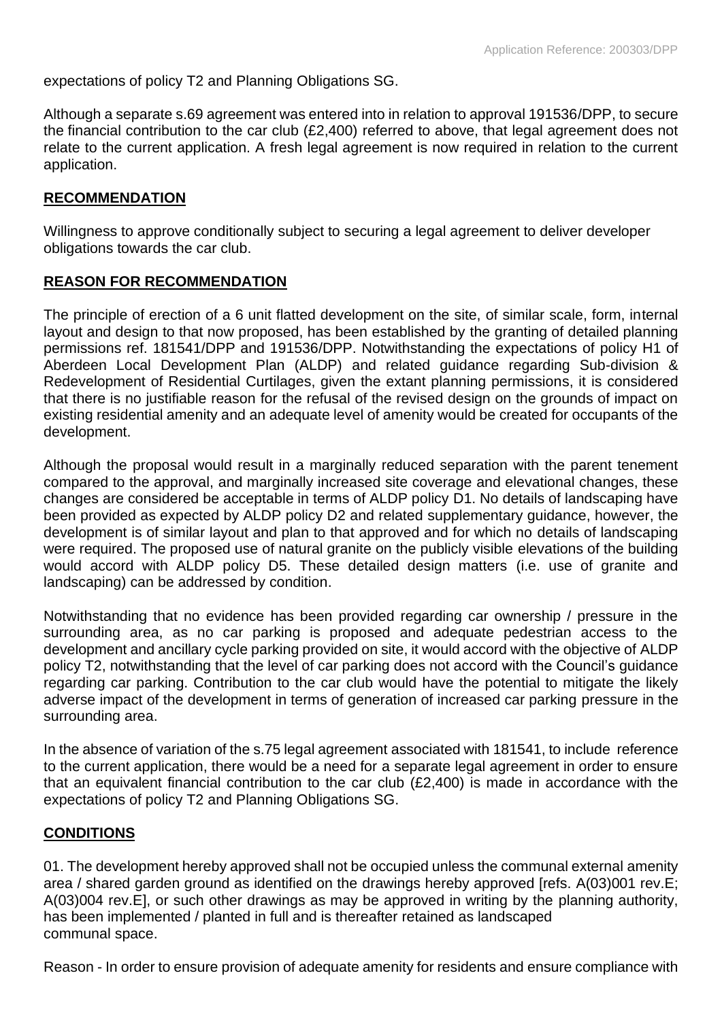expectations of policy T2 and Planning Obligations SG.

Although a separate s.69 agreement was entered into in relation to approval 191536/DPP, to secure the financial contribution to the car club (£2,400) referred to above, that legal agreement does not relate to the current application. A fresh legal agreement is now required in relation to the current application.

#### **RECOMMENDATION**

Willingness to approve conditionally subject to securing a legal agreement to deliver developer obligations towards the car club.

## **REASON FOR RECOMMENDATION**

The principle of erection of a 6 unit flatted development on the site, of similar scale, form, internal layout and design to that now proposed, has been established by the granting of detailed planning permissions ref. 181541/DPP and 191536/DPP. Notwithstanding the expectations of policy H1 of Aberdeen Local Development Plan (ALDP) and related guidance regarding Sub-division & Redevelopment of Residential Curtilages, given the extant planning permissions, it is considered that there is no justifiable reason for the refusal of the revised design on the grounds of impact on existing residential amenity and an adequate level of amenity would be created for occupants of the development.

Although the proposal would result in a marginally reduced separation with the parent tenement compared to the approval, and marginally increased site coverage and elevational changes, these changes are considered be acceptable in terms of ALDP policy D1. No details of landscaping have been provided as expected by ALDP policy D2 and related supplementary guidance, however, the development is of similar layout and plan to that approved and for which no details of landscaping were required. The proposed use of natural granite on the publicly visible elevations of the building would accord with ALDP policy D5. These detailed design matters (i.e. use of granite and landscaping) can be addressed by condition.

Notwithstanding that no evidence has been provided regarding car ownership / pressure in the surrounding area, as no car parking is proposed and adequate pedestrian access to the development and ancillary cycle parking provided on site, it would accord with the objective of ALDP policy T2, notwithstanding that the level of car parking does not accord with the Council's guidance regarding car parking. Contribution to the car club would have the potential to mitigate the likely adverse impact of the development in terms of generation of increased car parking pressure in the surrounding area.

In the absence of variation of the s.75 legal agreement associated with 181541, to include reference to the current application, there would be a need for a separate legal agreement in order to ensure that an equivalent financial contribution to the car club (£2,400) is made in accordance with the expectations of policy T2 and Planning Obligations SG.

## **CONDITIONS**

01. The development hereby approved shall not be occupied unless the communal external amenity area / shared garden ground as identified on the drawings hereby approved [refs. A(03)001 rev.E; A(03)004 rev.E], or such other drawings as may be approved in writing by the planning authority, has been implemented / planted in full and is thereafter retained as landscaped communal space.

Reason - In order to ensure provision of adequate amenity for residents and ensure compliance with